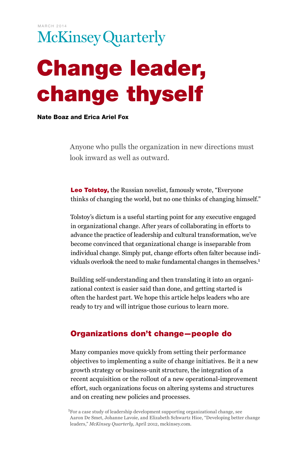# Change leader, change thyself

#### Nate Boaz and Erica Ariel Fox

Anyone who pulls the organization in new directions must look inward as well as outward.

Leo Tolstoy, the Russian novelist, famously wrote, "Everyone" thinks of changing the world, but no one thinks of changing himself."

Tolstoy's dictum is a useful starting point for any executive engaged in organizational change. After years of collaborating in efforts to advance the practice of leadership and cultural transformation, we've become convinced that organizational change is inseparable from individual change. Simply put, change efforts often falter because individuals overlook the need to make fundamental changes in themselves.1

Building self-understanding and then translating it into an organizational context is easier said than done, and getting started is often the hardest part. We hope this article helps leaders who are ready to try and will intrigue those curious to learn more.

## Organizations don't change—people do

Many companies move quickly from setting their performance objectives to implementing a suite of change initiatives. Be it a new growth strategy or business-unit structure, the integration of a recent acquisition or the rollout of a new operational-improvement effort, such organizations focus on altering systems and structures and on creating new policies and processes.

<sup>1</sup>For a case study of leadership development supporting organizational change, see Aaron De Smet, Johanne Lavoie, and Elizabeth Schwartz Hioe, "Developing better change leaders," *McKinsey Quarterly*, April 2012, mckinsey.com.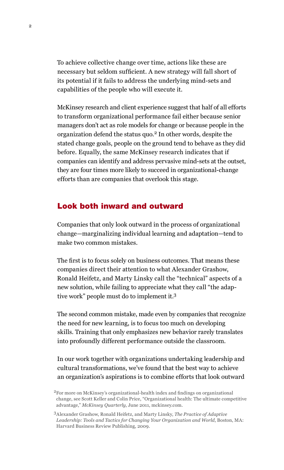To achieve collective change over time, actions like these are necessary but seldom sufficient. A new strategy will fall short of its potential if it fails to address the underlying mind-sets and capabilities of the people who will execute it.

McKinsey research and client experience suggest that half of all efforts to transform organizational performance fail either because senior managers don't act as role models for change or because people in the organization defend the status quo.2 In other words, despite the stated change goals, people on the ground tend to behave as they did before. Equally, the same McKinsey research indicates that if companies can identify and address pervasive mind-sets at the outset, they are four times more likely to succeed in organizational-change efforts than are companies that overlook this stage.

### Look both inward and outward

Companies that only look outward in the process of organizational change—marginalizing individual learning and adaptation—tend to make two common mistakes.

The first is to focus solely on business outcomes. That means these companies direct their attention to what Alexander Grashow, Ronald Heifetz, and Marty Linsky call the "technical" aspects of a new solution, while failing to appreciate what they call "the adaptive work" people must do to implement it.3

The second common mistake, made even by companies that recognize the need for new learning, is to focus too much on developing skills. Training that only emphasizes new behavior rarely translates into profoundly different performance outside the classroom.

In our work together with organizations undertaking leadership and cultural transformations, we've found that the best way to achieve an organization's aspirations is to combine efforts that look outward

<sup>2</sup>For more on McKinsey's organizational-health index and findings on organizational change, see Scott Keller and Colin Price, "Organizational health: The ultimate competitive advantage," *McKinsey Quarterly*, June 2011, mckinsey.com.

<sup>3</sup>Alexander Grashow, Ronald Heifetz, and Marty Linsky, *The Practice of Adaptive Leadership: Tools and Tactics for Changing Your Organization and World*, Boston, MA: Harvard Business Review Publishing, 2009.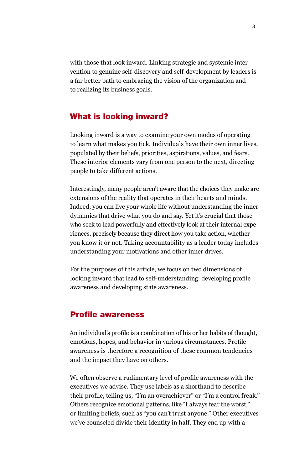with those that look inward. Linking strategic and systemic intervention to genuine self-discovery and self-development by leaders is a far better path to embracing the vision of the organization and to realizing its business goals.

## What is looking inward?

Looking inward is a way to examine your own modes of operating to learn what makes you tick. Individuals have their own inner lives, populated by their beliefs, priorities, aspirations, values, and fears. These interior elements vary from one person to the next, directing people to take different actions.

Interestingly, many people aren't aware that the choices they make are extensions of the reality that operates in their hearts and minds. Indeed, you can live your whole life without understanding the inner dynamics that drive what you do and say. Yet it's crucial that those who seek to lead powerfully and effectively look at their internal experiences, precisely because they direct how you take action, whether you know it or not. Taking accountability as a leader today includes understanding your motivations and other inner drives.

For the purposes of this article, we focus on two dimensions of looking inward that lead to self-understanding: developing profile awareness and developing state awareness.

#### Profile awareness

An individual's profile is a combination of his or her habits of thought, emotions, hopes, and behavior in various circumstances. Profile awareness is therefore a recognition of these common tendencies and the impact they have on others.

We often observe a rudimentary level of profile awareness with the executives we advise. They use labels as a shorthand to describe their profile, telling us, "I'm an overachiever" or "I'm a control freak." Others recognize emotional patterns, like "I always fear the worst," or limiting beliefs, such as "you can't trust anyone." Other executives we've counseled divide their identity in half. They end up with a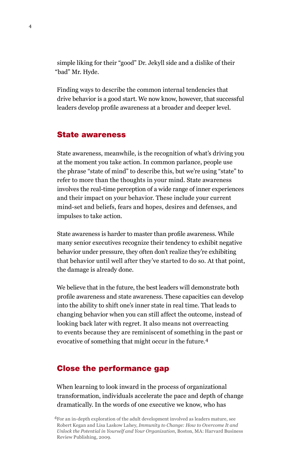simple liking for their "good" Dr. Jekyll side and a dislike of their "bad" Mr. Hyde.

Finding ways to describe the common internal tendencies that drive behavior is a good start. We now know, however, that successful leaders develop profile awareness at a broader and deeper level.

#### State awareness

State awareness, meanwhile, is the recognition of what's driving you at the moment you take action. In common parlance, people use the phrase "state of mind" to describe this, but we're using "state" to refer to more than the thoughts in your mind. State awareness involves the real-time perception of a wide range of inner experiences and their impact on your behavior. These include your current mind-set and beliefs, fears and hopes, desires and defenses, and impulses to take action.

State awareness is harder to master than profile awareness. While many senior executives recognize their tendency to exhibit negative behavior under pressure, they often don't realize they're exhibiting that behavior until well after they've started to do so. At that point, the damage is already done.

We believe that in the future, the best leaders will demonstrate both profile awareness and state awareness. These capacities can develop into the ability to shift one's inner state in real time. That leads to changing behavior when you can still affect the outcome, instead of looking back later with regret. It also means not overreacting to events because they are reminiscent of something in the past or evocative of something that might occur in the future.<sup>4</sup>

#### Close the performance gap

When learning to look inward in the process of organizational transformation, individuals accelerate the pace and depth of change dramatically. In the words of one executive we know, who has

<sup>&</sup>lt;sup>4</sup>For an in-depth exploration of the adult development involved as leaders mature, see Robert Kegan and Lisa Laskow Lahey, *Immunity to Change: How to Overcome It and Unlock the Potential in Yourself and Your Organization*, Boston, MA: Harvard Business Review Publishing, 2009.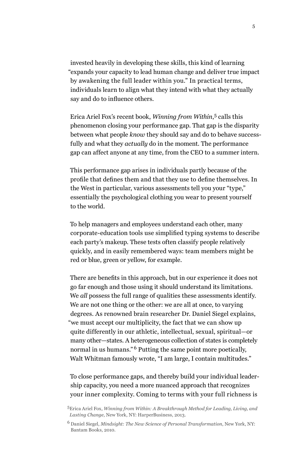invested heavily in developing these skills, this kind of learning "expands your capacity to lead human change and deliver true impact by awakening the full leader within you." In practical terms, individuals learn to align what they intend with what they actually say and do to influence others.

Erica Ariel Fox's recent book, *Winning from Within*, 5 calls this phenomenon closing your performance gap. That gap is the disparity between what people *know* they should say and do to behave successfully and what they *actually* do in the moment. The performance gap can affect anyone at any time, from the CEO to a summer intern.

This performance gap arises in individuals partly because of the profile that defines them and that they use to define themselves. In the West in particular, various assessments tell you your "type," essentially the psychological clothing you wear to present yourself to the world.

To help managers and employees understand each other, many corporate-education tools use simplified typing systems to describe each party's makeup. These tests often classify people relatively quickly, and in easily remembered ways: team members might be red or blue, green or yellow, for example.

There are benefits in this approach, but in our experience it does not go far enough and those using it should understand its limitations. We *all* possess the full range of qualities these assessments identify. We are not one thing or the other: we are all at once, to varying degrees. As renowned brain researcher Dr. Daniel Siegel explains, "we must accept our multiplicity, the fact that we can show up quite differently in our athletic, intellectual, sexual, spiritual—or many other—states. A heterogeneous collection of states is completely normal in us humans."<sup>6</sup> Putting the same point more poetically, Walt Whitman famously wrote, "I am large, I contain multitudes."

To close performance gaps, and thereby build your individual leadership capacity, you need a more nuanced approach that recognizes your inner complexity. Coming to terms with your full richness is

<sup>5</sup>Erica Ariel Fox, *Winning from Within: A Breakthrough Method for Leading, Living, and Lasting Change*, New York, NY: HarperBusiness, 2013.

<sup>6</sup> Daniel Siegel, *Mindsight: The New Science of Personal Transformation*, New York, NY: Bantam Books, 2010.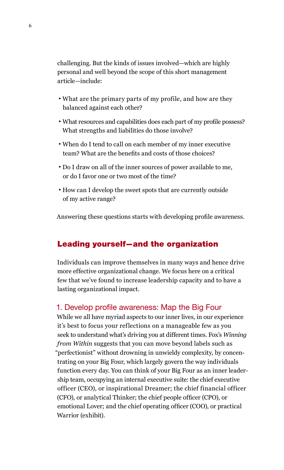challenging. But the kinds of issues involved—which are highly personal and well beyond the scope of this short management article—include:

- What are the primary parts of my profile, and how are they balanced against each other?
- What resources and capabilities does each part of my profile possess? What strengths and liabilities do those involve?
- When do I tend to call on each member of my inner executive team? What are the benefits and costs of those choices?
- Do I draw on all of the inner sources of power available to me, or do I favor one or two most of the time?
- How can I develop the sweet spots that are currently outside of my active range?

Answering these questions starts with developing profile awareness.

#### Leading yourself—and the organization

Individuals can improve themselves in many ways and hence drive more effective organizational change. We focus here on a critical few that we've found to increase leadership capacity and to have a lasting organizational impact.

#### 1. Develop profile awareness: Map the Big Four

While we all have myriad aspects to our inner lives, in our experience it's best to focus your reflections on a manageable few as you seek to understand what's driving you at different times. Fox's *Winning from Within* suggests that you can move beyond labels such as "perfectionist" without drowning in unwieldy complexity, by concentrating on your Big Four, which largely govern the way individuals function every day. You can think of your Big Four as an inner leadership team, occupying an internal executive suite: the chief executive officer (CEO), or inspirational Dreamer; the chief financial officer (CFO), or analytical Thinker; the chief people officer (CPO), or emotional Lover; and the chief operating officer (COO), or practical Warrior (exhibit).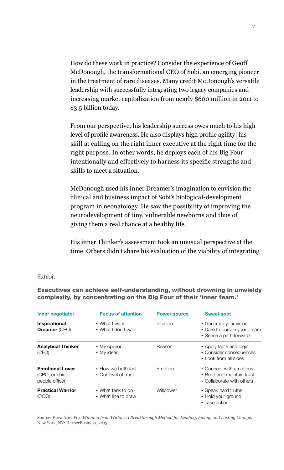How do these work in practice? Consider the experience of Geoff McDonough, the transformational CEO of Sobi, an emerging pioneer in the treatment of rare diseases. Many credit McDonough's versatile leadership with successfully integrating two legacy companies and increasing market capitalization from nearly \$600 million in 2011 to \$3.5 billion today.

From our perspective, his leadership success owes much to his high level of profile awareness. He also displays high profile agility: his skill at calling on the right inner executive at the right time for the right purpose. In other words, he deploys each of his Big Four intentionally and effectively to harness its specific strengths and skills to meet a situation.

McDonough used his inner Dreamer's imagination to envision the clinical and business impact of Sobi's biological-development program in neonatology. He saw the possibility of improving the neurodevelopment of tiny, vulnerable newborns and thus of giving them a real chance at a healthy life.

His inner Thinker's assessment took an unusual perspective at the time. Others didn't share his evaluation of the viability of integrating Fox excerpt

#### **Exhibit**

Executives can achieve self-understanding, without drowning in unwieldy complexity, by concentrating on the Big Four of their 'inner team.'

| Inner negotiator                                            | <b>Focus of attention</b>                  | <b>Power source</b> | <b>Sweet spot</b>                                                                  |
|-------------------------------------------------------------|--------------------------------------------|---------------------|------------------------------------------------------------------------------------|
| Inspirational<br><b>Dreamer</b> (CEO)                       | • What I want<br>• What I don't want       | Intuition           | • Generate your vision<br>• Dare to pursue your dream<br>• Sense a path forward    |
| <b>Analytical Thinker</b><br>(CFO)                          | • My opinion<br>• My ideas                 | Reason              | • Apply facts and logic<br>• Consider consequences<br>• Look from all sides        |
| <b>Emotional Lover</b><br>(CPO, or chief<br>people officer) | • How we both feel<br>• Our level of trust | Emotion             | • Connect with emotions<br>• Build and maintain trust<br>• Collaborate with others |
| <b>Practical Warrior</b><br>(COO)                           | • What task to do<br>• What line to draw   | Willpower           | • Speak hard truths<br>• Hold your ground<br>• Take action                         |

Source: Erica Ariel Fox, *Winning from Within: A Breakthrough Method for Leading, Living, and Lasting Change*, New York, NY: HarperBusiness, 2013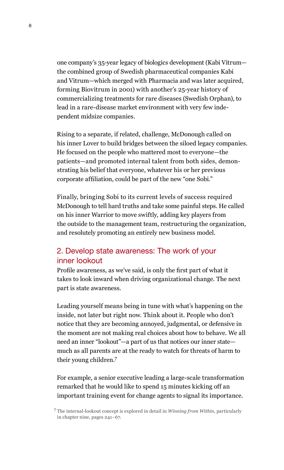one company's 35-year legacy of biologics development (Kabi Vitrum the combined group of Swedish pharmaceutical companies Kabi and Vitrum—which merged with Pharmacia and was later acquired, forming Biovitrum in 2001) with another's 25-year history of commercializing treatments for rare diseases (Swedish Orphan), to lead in a rare-disease market environment with very few independent midsize companies.

Rising to a separate, if related, challenge, McDonough called on his inner Lover to build bridges between the siloed legacy companies. He focused on the people who mattered most to everyone—the patients—and promoted internal talent from both sides, demonstrating his belief that everyone, whatever his or her previous corporate affiliation, could be part of the new "one Sobi."

Finally, bringing Sobi to its current levels of success required McDonough to tell hard truths and take some painful steps. He called on his inner Warrior to move swiftly, adding key players from the outside to the management team, restructuring the organization, and resolutely promoting an entirely new business model.

## 2. Develop state awareness: The work of your inner lookout

Profile awareness, as we've said, is only the first part of what it takes to look inward when driving organizational change. The next part is state awareness.

Leading yourself means being in tune with what's happening on the inside, not later but right now. Think about it. People who don't notice that they are becoming annoyed, judgmental, or defensive in the moment are not making real choices about how to behave. We all need an inner "lookout"—a part of us that notices our inner state much as all parents are at the ready to watch for threats of harm to their young children.7

For example, a senior executive leading a large-scale transformation remarked that he would like to spend 15 minutes kicking off an important training event for change agents to signal its importance.

<sup>7</sup> The internal-lookout concept is explored in detail in *Winning from Within*, particularly in chapter nine, pages 241–67.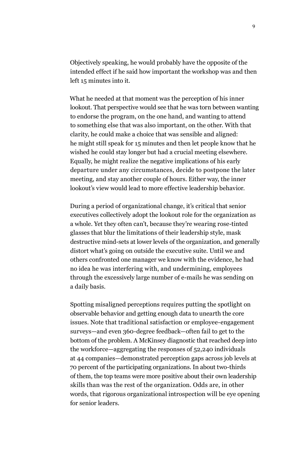Objectively speaking, he would probably have the opposite of the intended effect if he said how important the workshop was and then left 15 minutes into it.

What he needed at that moment was the perception of his inner lookout. That perspective would see that he was torn between wanting to endorse the program, on the one hand, and wanting to attend to something else that was also important, on the other. With that clarity, he could make a choice that was sensible and aligned: he might still speak for 15 minutes and then let people know that he wished he could stay longer but had a crucial meeting elsewhere. Equally, he might realize the negative implications of his early departure under any circumstances, decide to postpone the later meeting, and stay another couple of hours. Either way, the inner lookout's view would lead to more effective leadership behavior.

During a period of organizational change, it's critical that senior executives collectively adopt the lookout role for the organization as a whole. Yet they often can't, because they're wearing rose-tinted glasses that blur the limitations of their leadership style, mask destructive mind-sets at lower levels of the organization, and generally distort what's going on outside the executive suite. Until we and others confronted one manager we know with the evidence, he had no idea he was interfering with, and undermining, employees through the excessively large number of e-mails he was sending on a daily basis.

Spotting misaligned perceptions requires putting the spotlight on observable behavior and getting enough data to unearth the core issues. Note that traditional satisfaction or employee-engagement surveys—and even 360-degree feedback—often fail to get to the bottom of the problem. A McKinsey diagnostic that reached deep into the workforce—aggregating the responses of 52,240 individuals at 44 companies—demonstrated perception gaps across job levels at 70 percent of the participating organizations. In about two-thirds of them, the top teams were more positive about their own leadership skills than was the rest of the organization. Odds are, in other words, that rigorous organizational introspection will be eye opening for senior leaders.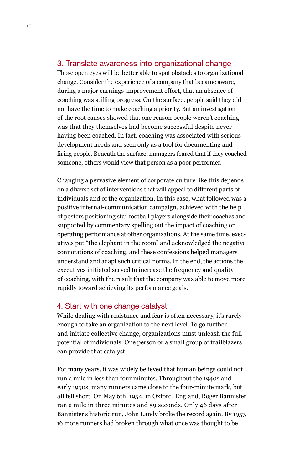#### 3. Translate awareness into organizational change

Those open eyes will be better able to spot obstacles to organizational change. Consider the experience of a company that became aware, during a major earnings-improvement effort, that an absence of coaching was stifling progress. On the surface, people said they did not have the time to make coaching a priority. But an investigation of the root causes showed that one reason people weren't coaching was that they themselves had become successful despite never having been coached. In fact, coaching was associated with serious development needs and seen only as a tool for documenting and firing people. Beneath the surface, managers feared that if they coached someone, others would view that person as a poor performer.

Changing a pervasive element of corporate culture like this depends on a diverse set of interventions that will appeal to different parts of individuals and of the organization. In this case, what followed was a positive internal-communication campaign, achieved with the help of posters positioning star football players alongside their coaches and supported by commentary spelling out the impact of coaching on operating performance at other organizations. At the same time, executives put "the elephant in the room" and acknowledged the negative connotations of coaching, and these confessions helped managers understand and adapt such critical norms. In the end, the actions the executives initiated served to increase the frequency and quality of coaching, with the result that the company was able to move more rapidly toward achieving its performance goals.

#### 4. Start with one change catalyst

While dealing with resistance and fear is often necessary, it's rarely enough to take an organization to the next level. To go further and initiate collective change, organizations must unleash the full potential of individuals. One person or a small group of trailblazers can provide that catalyst.

For many years, it was widely believed that human beings could not run a mile in less than four minutes. Throughout the 1940s and early 1950s, many runners came close to the four-minute mark, but all fell short. On May 6th, 1954, in Oxford, England, Roger Bannister ran a mile in three minutes and 59 seconds. Only 46 days after Bannister's historic run, John Landy broke the record again. By 1957, 16 more runners had broken through what once was thought to be